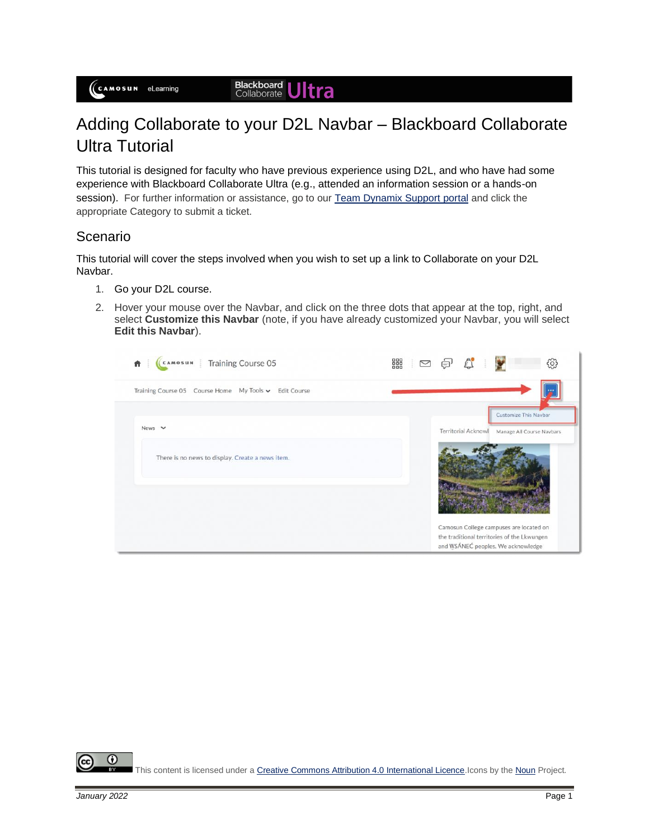## Adding Collaborate to your D2L Navbar – Blackboard Collaborate Ultra Tutorial

This tutorial is designed for faculty who have previous experience using D2L, and who have had some experience with Blackboard Collaborate Ultra (e.g., attended an information session or a hands-on session). For further information or assistance, go to ou[r Team Dynamix Support portal](https://camosun.teamdynamix.com/TDClient/67/Portal/Requests/ServiceCatalog?CategoryID=523) and click the appropriate Category to submit a ticket.

## Scenario

This tutorial will cover the steps involved when you wish to set up a link to Collaborate on your D2L Navbar.

- 1. Go your D2L course.
- 2. Hover your mouse over the Navbar, and click on the three dots that appear at the top, right, and select **Customize this Navbar** (note, if you have already customized your Navbar, you will select **Edit this Navbar**).

| Training Course 05<br>CAMOSUN                            | 器<br>සූ<br>⚠<br>$\geq$                                                                 |
|----------------------------------------------------------|----------------------------------------------------------------------------------------|
| Training Course 05 Course Home My Tools v<br>Edit Course |                                                                                        |
|                                                          | <b>Customize This Navbar</b>                                                           |
| News $\vee$                                              | <b>Territorial Acknowl</b><br>Manage All Course Navbars                                |
| There is no news to display. Create a news item.         |                                                                                        |
|                                                          |                                                                                        |
|                                                          |                                                                                        |
|                                                          |                                                                                        |
|                                                          | Camosun College campuses are located on<br>the traditional territories of the Lkwungen |
|                                                          | and WSÁNEC peoples. We acknowledge                                                     |

 $\odot$ This content is licensed under [a Creative Commons Attribution 4.0 International Licence.I](https://creativecommons.org/licenses/by/4.0/)cons by th[e Noun](https://creativecommons.org/website-icons/) Project.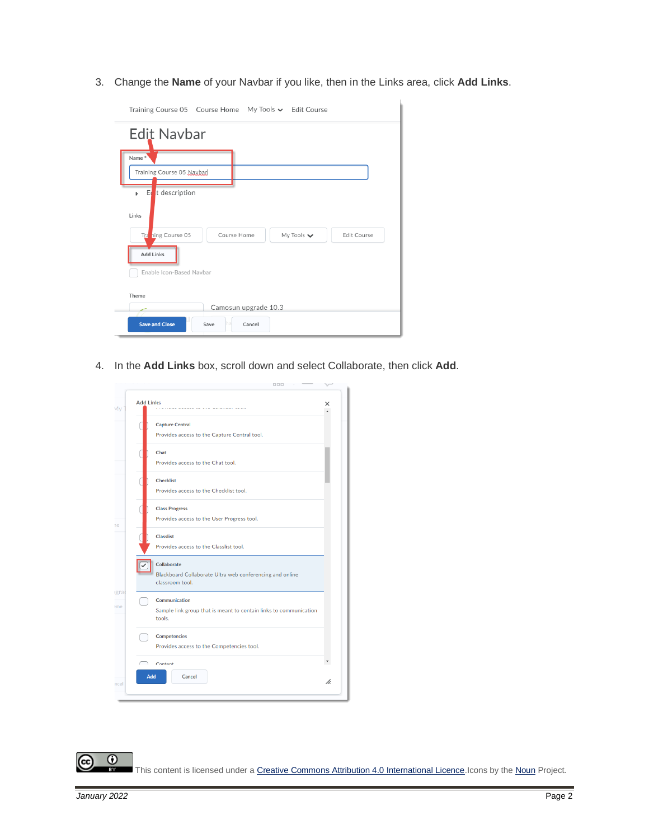3. Change the **Name** of your Navbar if you like, then in the Links area, click **Add Links**.

| Training Course 05 Course Home My Tools v Edit Course                                             |
|---------------------------------------------------------------------------------------------------|
| <b>Edit Navbar</b>                                                                                |
| Name*<br>Training Course 05 Navbar                                                                |
| t description<br>E<br>ь                                                                           |
| Links<br>Traning Course 05<br>Course Home<br>My Tools $\blacktriangleright$<br><b>Edit Course</b> |
| <b>Add Links</b><br>Enable Icon-Based Navbar                                                      |
| Theme<br>Camosun upgrade 10.3                                                                     |
| <b>Save and Close</b><br>Cancel<br>Save<br>ha                                                     |

4. In the **Add Links** box, scroll down and select Collaborate, then click **Add**.

| <b>Add Links</b> |                                                                                              |
|------------------|----------------------------------------------------------------------------------------------|
|                  | <b>Capture Central</b><br>Provides access to the Capture Central tool.                       |
|                  | Chat<br>Provides access to the Chat tool.                                                    |
|                  | <b>Checklist</b><br>Provides access to the Checklist tool.                                   |
|                  | <b>Class Progress</b><br>Provides access to the User Progress tool.                          |
|                  | <b>Classlist</b><br>Provides access to the Classlist tool.                                   |
|                  | Collaborate<br>Blackboard Collaborate Ultra web conferencing and online<br>classroom tool.   |
|                  | Communication<br>Sample link group that is meant to contain links to communication<br>tools. |
|                  | <b>Competencies</b><br>Provides access to the Competencies tool.                             |
|                  | Contant<br>Add<br>Cancel                                                                     |

 $\odot$ (cc This content is licensed under [a Creative Commons Attribution 4.0 International Licence.I](https://creativecommons.org/licenses/by/4.0/)cons by th[e Noun](https://creativecommons.org/website-icons/) Project. вŸ